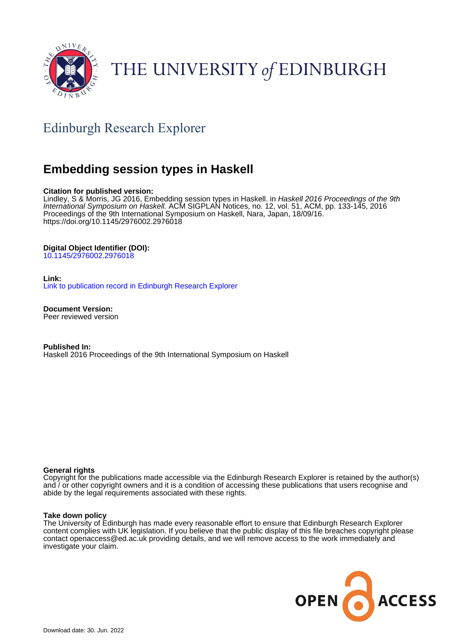

# THE UNIVERSITY of EDINBURGH

## Edinburgh Research Explorer

## **Embedding session types in Haskell**

## **Citation for published version:**

Lindley, S & Morris, JG 2016, Embedding session types in Haskell. in Haskell 2016 Proceedings of the 9th International Symposium on Haskell. ACM SIGPLAN Notices, no. 12, vol. 51, ACM, pp. 133-145, 2016 Proceedings of the 9th International Symposium on Haskell, Nara, Japan, 18/09/16. <https://doi.org/10.1145/2976002.2976018>

## **Digital Object Identifier (DOI):**

[10.1145/2976002.2976018](https://doi.org/10.1145/2976002.2976018)

**Link:**

[Link to publication record in Edinburgh Research Explorer](https://www.research.ed.ac.uk/en/publications/d19cc405-9940-448a-a617-fb6adad4e3fc)

**Document Version:** Peer reviewed version

**Published In:** Haskell 2016 Proceedings of the 9th International Symposium on Haskell

## **General rights**

Copyright for the publications made accessible via the Edinburgh Research Explorer is retained by the author(s) and / or other copyright owners and it is a condition of accessing these publications that users recognise and abide by the legal requirements associated with these rights.

## **Take down policy**

The University of Edinburgh has made every reasonable effort to ensure that Edinburgh Research Explorer content complies with UK legislation. If you believe that the public display of this file breaches copyright please contact openaccess@ed.ac.uk providing details, and we will remove access to the work immediately and investigate your claim.

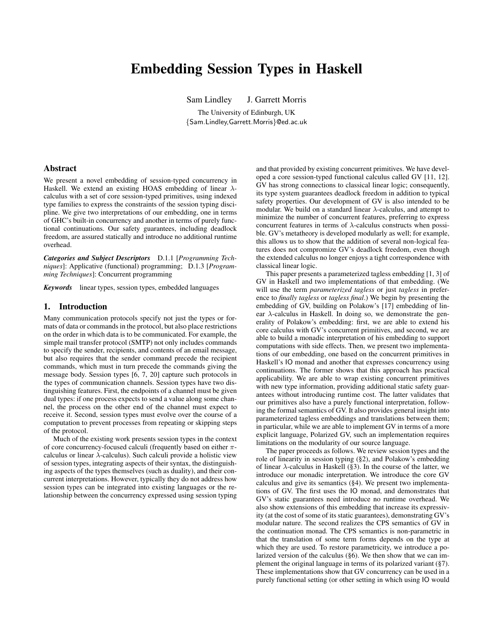## Embedding Session Types in Haskell

Sam Lindley J. Garrett Morris

The University of Edinburgh, UK {Sam.Lindley,Garrett.Morris}@ed.ac.uk

#### Abstract

We present a novel embedding of session-typed concurrency in Haskell. We extend an existing HOAS embedding of linear  $\lambda$ calculus with a set of core session-typed primitives, using indexed type families to express the constraints of the session typing discipline. We give two interpretations of our embedding, one in terms of GHC's built-in concurrency and another in terms of purely functional continuations. Our safety guarantees, including deadlock freedom, are assured statically and introduce no additional runtime overhead.

*Categories and Subject Descriptors* D.1.1 [*Programming Techniques*]: Applicative (functional) programming; D.1.3 [*Programming Techniques*]: Concurrent programming

*Keywords* linear types, session types, embedded languages

#### 1. Introduction

Many communication protocols specify not just the types or formats of data or commands in the protocol, but also place restrictions on the order in which data is to be communicated. For example, the simple mail transfer protocol (SMTP) not only includes commands to specify the sender, recipients, and contents of an email message, but also requires that the sender command precede the recipient commands, which must in turn precede the commands giving the message body. Session types [\[6,](#page-13-0) [7,](#page-13-1) [20\]](#page-13-2) capture such protocols in the types of communication channels. Session types have two distinguishing features. First, the endpoints of a channel must be given dual types: if one process expects to send a value along some channel, the process on the other end of the channel must expect to receive it. Second, session types must evolve over the course of a computation to prevent processes from repeating or skipping steps of the protocol.

Much of the existing work presents session types in the context of core concurrency-focused calculi (frequently based on either  $\pi$ calculus or linear  $\lambda$ -calculus). Such calculi provide a holistic view of session types, integrating aspects of their syntax, the distinguishing aspects of the types themselves (such as duality), and their concurrent interpretations. However, typically they do not address how session types can be integrated into existing languages or the relationship between the concurrency expressed using session typing and that provided by existing concurrent primitives. We have developed a core session-typed functional calculus called GV [\[11,](#page-13-3) [12\]](#page-13-4). GV has strong connections to classical linear logic; consequently, its type system guarantees deadlock freedom in addition to typical safety properties. Our development of GV is also intended to be modular. We build on a standard linear  $\lambda$ -calculus, and attempt to minimize the number of concurrent features, preferring to express concurrent features in terms of  $\lambda$ -calculus constructs when possible. GV's metatheory is developed modularly as well; for example, this allows us to show that the addition of several non-logical features does not compromize GV's deadlock freedom, even though the extended calculus no longer enjoys a tight correspondence with classical linear logic.

This paper presents a parameterized tagless embedding [\[1,](#page-13-5) [3\]](#page-13-6) of GV in Haskell and two implementations of that embedding. (We will use the term *parameterized tagless* or just *tagless* in preference to *finally tagless* or *tagless final*.) We begin by presenting the embedding of GV, building on Polakow's [\[17\]](#page-13-7) embedding of linear  $\lambda$ -calculus in Haskell. In doing so, we demonstrate the generality of Polakow's embedding: first, we are able to extend his core calculus with GV's concurrent primitives, and second, we are able to build a monadic interpretation of his embedding to support computations with side effects. Then, we present two implementations of our embedding, one based on the concurrent primitives in Haskell's IO monad and another that expresses concurrency using continuations. The former shows that this approach has practical applicability. We are able to wrap existing concurrent primitives with new type information, providing additional static safety guarantees without introducing runtime cost. The latter validates that our primitives also have a purely functional interpretation, following the formal semantics of GV. It also provides general insight into parameterized tagless embeddings and translations between them; in particular, while we are able to implement GV in terms of a more explicit language, Polarized GV, such an implementation requires limitations on the modularity of our source language.

The paper proceeds as follows. We review session types and the role of linearity in session typing ([§2\)](#page-2-0), and Polakow's embedding of linear  $\lambda$ -calculus in Haskell ([§3\)](#page-2-1). In the course of the latter, we introduce our monadic interpretation. We introduce the core GV calculus and give its semantics ([§4\)](#page-4-0). We present two implementations of GV. The first uses the IO monad, and demonstrates that GV's static guarantees need introduce no runtime overhead. We also show extensions of this embedding that increase its expressivity (at the cost of some of its static guarantees), demonstrating GV's modular nature. The second realizes the CPS semantics of GV in the continuation monad. The CPS semantics is non-parametric in that the translation of some term forms depends on the type at which they are used. To restore parametricity, we introduce a polarized version of the calculus ([§6\)](#page-8-0). We then show that we can implement the original language in terms of its polarized variant ([§7\)](#page-10-0). These implementations show that GV concurrency can be used in a purely functional setting (or other setting in which using IO would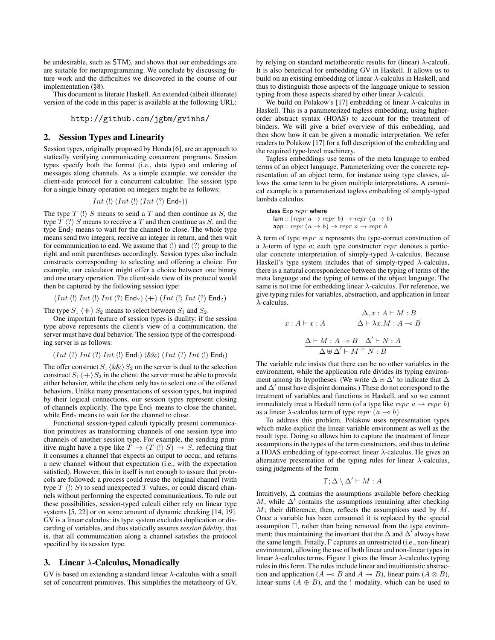be undesirable, such as STM), and shows that our embeddings are are suitable for metaprogramming. We conclude by discussing future work and the difficulties we discovered in the course of our implementation ([§8\)](#page-12-0).

This document is literate Haskell. An extended (albeit illiterate) version of the code in this paper is available at the following URL:

#### <http://github.com/jgbm/gvinhs/>

### <span id="page-2-0"></span>2. Session Types and Linearity

Session types, originally proposed by Honda [\[6\]](#page-13-0), are an approach to statically verifying communicating concurrent programs. Session types specify both the format (i.e., data type) and ordering of messages along channels. As a simple example, we consider the client-side protocol for a concurrent calculator. The session type for a single binary operation on integers might be as follows:

$$
Int \langle ! \rangle (Int \langle ! \rangle (Int \langle ? \rangle End_?))
$$

The type  $T \langle \cdot \rangle$  S means to send a T and then continue as S, the type  $T \langle ? \rangle$  S means to receive a T and then continue as S, and the type End? means to wait for the channel to close. The whole type means send two integers, receive an integer in return, and then wait for communication to end. We assume that  $\langle \cdot \rangle$  and  $\langle \cdot \rangle$  group to the right and omit parentheses accordingly. Session types also include constructs corresponding to selecting and offering a choice. For example, our calculator might offer a choice between one binary and one unary operation. The client-side view of its protocol would then be captured by the following session type:

$$
(Int \langle ! \rangle Int \langle ! \rangle Int \langle ? \rangle \text{End}_? ) \langle + \rangle (Int \langle ! \rangle Int \langle ? \rangle \text{End}_? )
$$

The type  $S_1 \langle +\rangle S_2$  means to select between  $S_1$  and  $S_2$ .

One important feature of session types is duality: if the session type above represents the client's view of a communication, the server must have dual behavior. The session type of the corresponding server is as follows:

$$
(Int \langle ? \rangle Int \langle ? \rangle Int \langle ! \rangle \text{ End}_!) \langle \& \& \rangle (Int \langle ? \rangle Int \langle ! \rangle \text{ End}_!)
$$

The offer construct  $S_1 \langle \&\& \rangle S_2$  on the server is dual to the selection construct  $S_1 \langle +\rangle S_2$  in the client: the server must be able to provide either behavior, while the client only has to select one of the offered behaviors. Unlike many presentations of session types, but inspired by their logical connections, our session types represent closing of channels explicitly. The type End<sub>!</sub> means to close the channel, while End? means to wait for the channel to close.

Functional session-typed calculi typically present communication primitives as transforming channels of one session type into channels of another session type. For example, the sending primitive might have a type like  $T \to (T \langle \cdot | S \rangle) \to S$ , reflecting that it consumes a channel that expects an output to occur, and returns a new channel without that expectation (i.e., with the expectation satisfied). However, this in itself is not enough to assure that protocols are followed: a process could reuse the original channel (with type  $T \langle \cdot | \cdot \rangle$  S) to send unexpected T values, or could discard channels without performing the expected communications. To rule out these possibilities, session-typed calculi either rely on linear type systems [\[5,](#page-13-8) [22\]](#page-13-9) or on some amount of dynamic checking [\[14,](#page-13-10) [19\]](#page-13-11). GV is a linear calculus: its type system excludes duplication or discarding of variables, and thus statically assures *session fidelity*, that is, that all communication along a channel satisfies the protocol specified by its session type.

#### <span id="page-2-1"></span>3. Linear  $\lambda$ -Calculus, Monadically

GV is based on extending a standard linear  $\lambda$ -calculus with a small set of concurrent primitives. This simplifies the metatheory of GV, by relying on standard metatheoretic results for (linear)  $\lambda$ -calculi. It is also beneficial for embedding GV in Haskell. It allows us to build on an existing embedding of linear  $\lambda$ -calculus in Haskell, and thus to distinguish those aspects of the language unique to session typing from those aspects shared by other linear  $\lambda$ -calculi.

We build on Polakow's [\[17\]](#page-13-7) embedding of linear  $\lambda$ -calculus in Haskell. This is a parameterized tagless embedding, using higherorder abstract syntax (HOAS) to account for the treatment of binders. We will give a brief overview of this embedding, and then show how it can be given a monadic interpretation. We refer readers to Polakow [\[17\]](#page-13-7) for a full description of the embedding and the required type-level machinery.

Tagless embeddings use terms of the meta language to embed terms of an object language. Parameterizing over the concrete representation of an object term, for instance using type classes, allows the same term to be given multiple interpretations. A canonical example is a parameterized tagless embedding of simply-typed lambda calculus.

**class** Exp repr **where**  
lam :: (repr 
$$
a \rightarrow repr b) \rightarrow repr (a \rightarrow b)
$$
  
app :: repr  $(a \rightarrow b) \rightarrow repr a \rightarrow repr b$ 

A term of type repr a represents the type-correct construction of a  $\lambda$ -term of type  $a$ ; each type constructor  $repr$  denotes a particular concrete interpretation of simply-typed  $λ$ -calculus. Because Haskell's type system includes that of simply-typed  $\lambda$ -calculus, there is a natural correspondence between the typing of terms of the meta language and the typing of terms of the object language. The same is not true for embedding linear  $\lambda$ -calculus. For reference, we give typing rules for variables, abstraction, and application in linear λ-calculus.

$$
\frac{\Delta, x:A \vdash M:B}{x:A \vdash x:A} \qquad \frac{\Delta, x:A \vdash M:B}{\Delta \vdash \lambda x.M:A \multimap B}
$$

$$
\frac{\Delta \vdash M:A \multimap B \quad \Delta' \vdash N:A}{\Delta \uplus \Delta' \vdash M \stackrel{\frown}{\land} N:B}
$$

The variable rule insists that there can be no other variables in the environment, while the application rule divides its typing environment among its hypotheses. (We write  $\Delta \uplus \Delta'$  to indicate that  $\Delta$ and  $\Delta'$  must have disjoint domains.) These do not correspond to the treatment of variables and functions in Haskell, and so we cannot immediately treat a Haskell term (of a type like *repr*  $a \rightarrow repr b$ ) as a linear  $\lambda$ -calculus term of type repr  $(a \rightarrow b)$ .

To address this problem, Polakow uses representation types which make explicit the linear variable environment as well as the result type. Doing so allows him to capture the treatment of linear assumptions in the types of the term constructors, and thus to define a HOAS embedding of type-correct linear  $\lambda$ -calculus. He gives an alternative presentation of the typing rules for linear  $\lambda$ -calculus, using judgments of the form

$$
\Gamma; \Delta \setminus \Delta' \vdash M : A
$$

Intuitively,  $\Delta$  contains the assumptions available before checking M, while  $\Delta'$  contains the assumptions remaining after checking  $M$ ; their difference, then, reflects the assumptions used by  $M$ . Once a variable has been consumed it is replaced by the special assumption  $\Box$ , rather than being removed from the type environment; thus maintaining the invariant that the  $\Delta$  and  $\Delta'$  always have the same length. Finally, Γ captures an unrestricted (i.e., non-linear) environment, allowing the use of both linear and non-linear types in linear  $\lambda$ -calculus terms. Figure [1](#page-3-0) gives the linear  $\lambda$ -calculus typing rules in this form. The rules include linear and intuitionistic abstraction and application ( $A \rightarrow B$  and  $A \rightarrow B$ ), linear pairs ( $A \otimes B$ ), linear sums  $(A \oplus B)$ , and the ! modality, which can be used to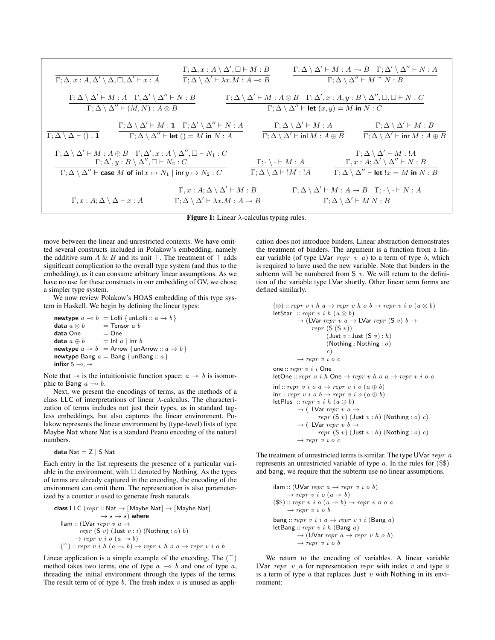| $\Gamma; \Delta, x:A, \Delta' \setminus \Delta, \Box, \Delta' \vdash x:A$ |                                                                                                                                                                                                                                                                                                                  | $\Gamma; \Delta, x:A \setminus \Delta', \Box \vdash M:B$<br>$\Gamma; \Delta \setminus \overline{\Delta' \vdash \lambda x.M : A \multimap B}$                                         |                                                                                                  |                                                                                                                            | $\Gamma; \Delta \setminus \Delta'' \vdash \overline{M \cap N : B}$ | $\Gamma; \Delta \setminus \Delta' \vdash M : A \multimap B \quad \Gamma; \Delta' \setminus \Delta'' \vdash N : A$                                                                 |
|---------------------------------------------------------------------------|------------------------------------------------------------------------------------------------------------------------------------------------------------------------------------------------------------------------------------------------------------------------------------------------------------------|--------------------------------------------------------------------------------------------------------------------------------------------------------------------------------------|--------------------------------------------------------------------------------------------------|----------------------------------------------------------------------------------------------------------------------------|--------------------------------------------------------------------|-----------------------------------------------------------------------------------------------------------------------------------------------------------------------------------|
|                                                                           | $\Gamma; \Delta \setminus \Delta' \vdash M : A \quad \Gamma; \Delta' \setminus \Delta'' \vdash N : B$<br>$\Gamma; \Delta \setminus \Delta'' \vdash (M, N) : A \otimes B$                                                                                                                                         |                                                                                                                                                                                      |                                                                                                  | $\Gamma; \Delta \setminus \Delta'' \vdash$ let $(x, y) = M$ in $N : C$                                                     |                                                                    | $\Gamma; \Delta \setminus \Delta' \vdash M : A \otimes B \quad \Gamma; \Delta', x : A, y : B \setminus \Delta'', \Box, \Box \vdash N : C$                                         |
| $\Gamma; \Delta \setminus \Delta \vdash () : \overline{\mathbf{1}}$       |                                                                                                                                                                                                                                                                                                                  | $\Gamma; \Delta \setminus \Delta' \vdash M : \mathbf{1} \quad \Gamma; \Delta' \setminus \Delta'' \vdash N : A$<br>$\Gamma; \Delta \setminus \Delta'' \vdash$ let $() = M$ in $N : A$ |                                                                                                  | $\Gamma; \Delta \setminus \Delta' \vdash M : A$<br>$\Gamma; \Delta \setminus \Delta' \vdash \mathsf{inl}\, M : A \oplus B$ |                                                                    | $\Gamma; \Delta \setminus \Delta' \vdash M : B$<br>$\Gamma; \Delta \setminus \Delta' \vdash \mathsf{inr}\, M : A \oplus B$                                                        |
|                                                                           | $\Gamma; \Delta \setminus \Delta' \vdash M : A \oplus B \quad \Gamma; \Delta', x : A \setminus \Delta'', \Box \vdash N_1 : C$<br>$\Gamma; \Delta', y : B \setminus \Delta'', \Box \vdash N_2 : C$<br>$\Gamma; \Delta \setminus \Delta'' \vdash$ case M of inl $x \mapsto N_1 \mid \text{inr } y \mapsto N_2 : C$ |                                                                                                                                                                                      | $\Gamma; \cdot \setminus \cdot \vdash M : A$<br>$\Gamma; \Delta \setminus \Delta \vdash !M : !A$ |                                                                                                                            |                                                                    | $\Gamma; \Delta \setminus \Delta' \vdash M : !A$<br>$\Gamma, x : A; \Delta' \setminus \Delta'' \vdash N : B$<br>$\Gamma; \Delta \setminus \Delta'' \vdash$ let $x = M$ in $N : B$ |
| $\Gamma, x:A; \Delta \setminus \Delta \vdash x:A$                         |                                                                                                                                                                                                                                                                                                                  | $\Gamma, x:A; \Delta \setminus \Delta' \vdash M:B$<br>$\Gamma; \Delta \setminus \Delta' \vdash \lambda x.M : A \twoheadrightarrow B$                                                 |                                                                                                  |                                                                                                                            | $\Gamma; \Delta \setminus \Delta' \vdash M N : B$                  | $\Gamma; \Delta \setminus \Delta' \vdash M : A \twoheadrightarrow B \quad \Gamma; \cdot \setminus \cdot \vdash N : A$                                                             |

**Figure 1:** Linear  $\lambda$ -calculus typing rules.

<span id="page-3-0"></span>move between the linear and unrestricted contexts. We have omitted several constructs included in Polakow's embedding, namely the additive sum A & B and its unit  $\top$ . The treatment of  $\top$  adds significant complication to the overall type system (and thus to the embedding), as it can consume arbitrary linear assumptions. As we have no use for these constructs in our embedding of GV, we chose a simpler type system.

We now review Polakow's HOAS embedding of this type system in Haskell. We begin by defining the linear types:

newtype  $a \to b =$  Lolli {unLolli ::  $a \to b$  } data  $a \otimes b$  = Tensor  $a \; b$  $data One$  = One data  $a \oplus b = \ln |a| \ln |b|$ newtype  $a \rightarrow b =$  Arrow {unArrow ::  $a \rightarrow b$  } newtype Bang  $a =$  Bang  $\{$  unBang ::  $a\}$ infixr  $5 \rightarrow$ ,  $\rightarrow$ 

Note that  $\rightarrow$  is the intuitionistic function space:  $a \rightarrow b$  is isomorphic to Bang  $a \rightarrow b$ .

Next, we present the encodings of terms, as the methods of a class LLC of interpretations of linear  $\lambda$ -calculus. The characterization of terms includes not just their types, as in standard tagless embeddings, but also captures the linear environment. Polakow represents the linear environment by (type-level) lists of type Maybe Nat where Nat is a standard Peano encoding of the natural numbers.

data  $Nat = Z | S Nat$ 

Each entry in the list represents the presence of a particular variable in the environment, with  $\Box$  denoted by Nothing. As the types of terms are already captured in the encoding, the encoding of the environment can omit them. The representation is also parameterized by a counter  $v$  used to generate fresh naturals.

```
\nclass LLC (repr :: Nat \rightarrow [Maybe Nat] \rightarrow [Maybe Nat] \rightarrow \star \rightarrow \star) where\n
```
\n
$$
\begin{array}{l}\n\text{Ham} :: (\text{LVar repr } v \ a \rightarrow \\
\text{repr } (S \ v) \ (\text{Just } v : i) \ (\text{Nothing : o}) \ b) \\
\rightarrow \text{repr } v \ i \ o \ (a \rightarrow b) \\
\text{(^\ )} :: \text{repr } v \ i \ h \ (a \rightarrow b) \rightarrow \text{repr } v \ h \ o \ a \rightarrow \text{repr } v \ i \ o \ b\n\end{array}
$$

Linear application is a simple example of the encoding. The  $(\hat{\ })$ method takes two terms, one of type  $a \rightarrow b$  and one of type a, threading the initial environment through the types of the terms. The result term of of type  $b$ . The fresh index  $v$  is unused as application does not introduce binders. Linear abstraction demonstrates the treatment of binders. The argument is a function from a linear variable (of type LVar repr  $v$  a) to a term of type  $b$ , which is required to have used the new variable. Note that binders in the subterm will be numbered from  $S$  v. We will return to the definition of the variable type LVar shortly. Other linear term forms are defined similarly.

$$
(\otimes) :: repr \ v \ i \ h \ a \rightarrow repr \ v \ h \ o \ b \rightarrow repr \ v \ i \ o \ (a \otimes b)
$$
\nletStar :: repr v \ i \ h \ (a \otimes b)\n
$$
\rightarrow (LVar \ repr \ v \ a \rightarrow LVar \ repr \ (S \ v) \ b \rightarrow
$$
\n
$$
repr \ (S \ (S \ v))
$$
\n
$$
(Just \ v : Just \ (S \ v) : h)
$$
\n
$$
(Nothing : Nothing : o)
$$
\n
$$
\rightarrow repr \ v \ i \ o \ c
$$
\none :: repr v \ i \ h One \rightarrow repr v \ h \ o \ a \rightarrow repr v \ i \ o \ a\n
$$
in!::repr \ v \ i \ h One \rightarrow repr v \ i \ o \ (a \oplus b)
$$
\n
$$
int:: repr \ v \ i \ o \ b \rightarrow repr v \ i \ o \ (a \oplus b)
$$
\nletPlus :: repr v \ i \ h \ (a \oplus b)\n
$$
\rightarrow (LVar \ repr \ v \ a \rightarrow
$$
\n
$$
repr \ (S \ v) \ (Just \ v : h) \ (Nothing : o) \ c)
$$
\n
$$
\rightarrow (LVar \ r \phi \ r \ b \rightarrow
$$
\n
$$
repr \ (S \ v) \ (Just \ v : h) \ (Nothing : o) \ c)
$$
\n
$$
\rightarrow repr \ v \ i \ o \ c
$$

The treatment of unrestricted terms is similar. The type UVar  $repr \ a$ represents an unrestricted variable of type  $a$ . In the rules for  $(\$$)$ and bang, we require that the subterm use no linear assumptions.

```
ilam :: (UVar repr a \rightarrow repr \ v \ i \ o \ b)\rightarrow repr v i o (a \rightarrow b)(\$$): repr v i o (a \rightarrow b) \rightarrow repr v o o a\rightarrow repr v i o b
bang :: repr v i i a \rightarrow repr v i i (Bang a)
letBang :: repr \ v \ i \ h \ (Bang \ a)\rightarrow (UVar repr a \rightarrow repr v h o b)
            \rightarrow repr v i o b
```
We return to the encoding of variables. A linear variable LVar  $repr$  v a for representation  $repr$  with index v and type  $a$ is a term of type  $a$  that replaces Just  $v$  with Nothing in its environment: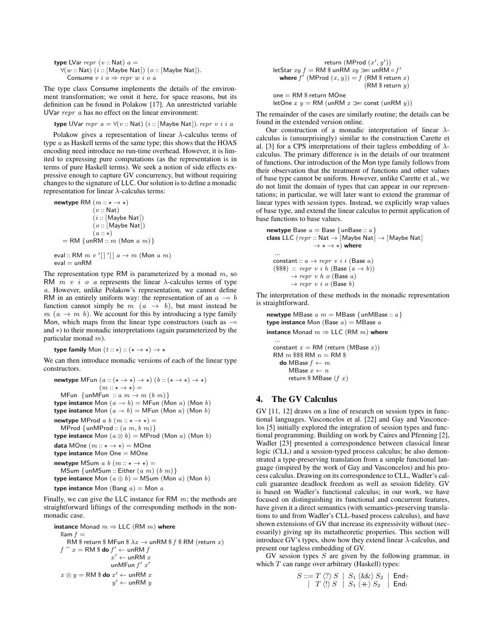type LVar  $repr(v::Nat)$   $a =$  $\forall (w:: \textsf{Nat}) \ (i:: [\textsf{Maybe Nat}] ) \ (o:: [\textsf{Maybe Nat}]).$ Consume  $v i o \Rightarrow repr w i o a$ 

The type class Consume implements the details of the environment transformation; we omit it here, for space reasons, but its definition can be found in Polakow [\[17\]](#page-13-7). An unrestricted variable UVar repr a has no effect on the linear environment:

$$
type UVar\; repr\; a = \forall (v :: Nat)\; (i :: [Maybe Nat]).\; repr\; v\; i\; i\; a
$$

Polakow gives a representation of linear  $\lambda$ -calculus terms of type a as Haskell terms of the same type; this shows that the HOAS encoding need introduce no run-time overhead. However, it is limited to expressing pure computations (as the representation is in terms of pure Haskell terms). We seek a notion of side effects expressive enough to capture GV concurrency, but without requiring changes to the signature of LLC. Our solution is to define a monadic representation for linear  $\lambda$ -calculus terms:

newtype RM (m :: ? → ?) (v :: Nat) (i :: [Maybe Nat]) (o :: [Maybe Nat]) (a :: ?) = RM {unRM :: m (Mon a m)} eval :: RM m v <sup>0</sup> [ ] <sup>0</sup> [ ] a → m (Mon a m) eval = unRM

The representation type RM is parameterized by a monad  $m$ , so RM  $m$  v i o a represents the linear  $\lambda$ -calculus terms of type a. However, unlike Polakow's representation, we cannot define RM in an entirely uniform way: the representation of an  $a \rightarrow b$ function cannot simply be  $m(a \rightarrow b)$ , but must instead be  $m(a \rightarrow m b)$ . We account for this by introducing a type family Mon, which maps from the linear type constructors (such as  $\sim$ and ∗) to their monadic interpretations (again parameterized by the particular monad m).

type family Mon  $(t::\star) :: (\star \to \star) \to \star$ 

We can then introduce monadic versions of each of the linear type constructors.

```
newtype MFun (a:: (\star \rightarrow \star) \rightarrow \star) (b:: (\star \rightarrow \star) \rightarrow \star)(m:: \star \rightarrow \star) =
  MFun \{unMFun :: a m \rightarrow m (b m)\}type instance Mon (a - b) = MFun (Mon a) (Mon b)
type instance Mon (a \rightarrow b) = MFun (Mon a) (Mon b)
newtype MProd a b (m::* \rightarrow *) =MProd \{unMProd :: (a m, b m)\}type instance Mon (a \otimes b) = \text{MProd } (\text{Mon } a) (Mon b)
data MOne (m::* \rightarrow *) = MOne
type instance Mon One = MOne
newtype MSum a b (m::* \rightarrow *) =MSum \{ unMSum :: Either (a m) (b m)type instance Mon (a \oplus b) = \mathsf{MSum} (Mon a) (Mon b)
```
type instance Mon (Bang  $a$ ) = Mon  $a$ 

Finally, we can give the LLC instance for RM  $m$ ; the methods are straightforward liftings of the corresponding methods in the nonmonadic case.

```
instance Monad m \Rightarrow LLC (RM m) where
  llam f =RM $ return $ MFun \lambda x \rightarrow unRM $ f $ RM (return x)
   f \cap x = \text{RM} \$ \textbf{do} f' \leftarrow \text{unRM} fx' \leftarrow unRM xunMFun f' x'x \otimes y = \text{RM} \$ \textbf{do} \ x' \leftarrow \text{unRM} \ xy' \leftarrow un\mathsf{RM} \ y
```
return (MProd  $(x', y'))$ letStar  $xy f = RM $$  un $RM x y \gg \text{un} RM \circ f'$ where  $f'$  (MProd  $(x, y)$ ) = f (RM \$ return x)  $(RM $$  return  $y)$ 

one = RM \$ return MOne

letOne  $x y = RM$  (unRM  $x \gg \text{const}$  (unRM  $y$ ))

The remainder of the cases are similarly routine; the details can be found in the extended version online.

Our construction of a monadic interpretation of linear  $\lambda$ calculus is (unsurprisingly) similar to the construction Carette et al. [\[3\]](#page-13-6) for a CPS interpretations of their tagless embedding of  $\lambda$ calculus. The primary difference is in the details of our treatment of functions. Our introduction of the Mon type family follows from their observation that the treatment of functions and other values of base type cannot be uniform. However, unlike Carette et al., we do not limit the domain of types that can appear in our representations; in particular, we will later want to extend the grammar of linear types with session types. Instead, we explicitly wrap values of base type, and extend the linear calculus to permit application of base functions to base values.

newtype Base  $a =$  Base  $\{$  unBase ::  $a\}$ class LLC (repr :: Nat  $\rightarrow$  [Maybe Nat]  $\rightarrow$  [Maybe Nat]  $\rightarrow \star \rightarrow \star)$  where ... constant ::  $a \rightarrow repr \ v \ i \ i$  (Base a) (\$\$\$) :: repr v i h (Base  $(a \rightarrow b)$ )  $\rightarrow$  repr v h o (Base a)  $\rightarrow$  repr v i o (Base b)

The interpretation of these methods in the monadic representation is straightforward.

newtype MBase  $a \ m = \text{MBase } \{ \text{unMBase} :: a \}$ type instance Mon (Base  $a$ ) = MBase  $a$ instance Monad  $m \Rightarrow$  LLC (RM  $m$ ) where ... constant  $x = RM$  (return (MBase  $x$ )) RM  $m$  \$\$\$ RM  $n =$  RM \$ do MBase  $f \leftarrow m$ 

### MBase  $x \leftarrow n$ return  $\$\text{MBase} (f x)$

## <span id="page-4-0"></span>4. The GV Calculus

GV [\[11,](#page-13-3) [12\]](#page-13-4) draws on a line of research on session types in functional languages. Vasconcelos et al. [\[22\]](#page-13-9) and Gay and Vasconcelos [\[5\]](#page-13-8) initially explored the integration of session types and functional programming. Building on work by Caires and Pfenning [\[2\]](#page-13-12), Wadler [\[23\]](#page-13-13) presented a correspondence between classical linear logic (CLL) and a session-typed process calculus; he also demonstrated a type-preserving translation from a simple functional language (inspired by the work of Gay and Vasconcelos) and his process calculus. Drawing on its correspondence to CLL, Wadler's calculi guarantee deadlock freedom as well as session fidelity. GV is based on Wadler's functional calculus; in our work, we have focused on distinguishing its functional and concurrent features, have given it a direct semantics (with semantics-preserving translations to and from Wadler's CLL-based process calculus), and have shown extensions of GV that increase its expressivity without (necessarily) giving up its metatheoretic properties. This section will introduce GV's types, show how they extend linear  $\lambda$ -calculus, and present our tagless embedding of GV.

GV session types  $S$  are given by the following grammar, in which  $T$  can range over arbitrary (Haskell) types:

$$
S ::= T \langle ? \rangle S \mid S_1 \langle \& \& \rangle S_2 \mid \text{End}_?
$$
  
\n
$$
\mid T \langle ! \rangle S \mid S_1 \langle + \rangle S_2 \mid \text{End}_!
$$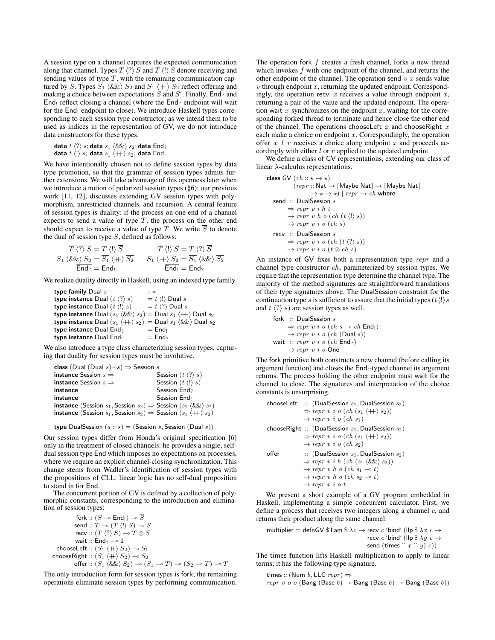A session type on a channel captures the expected communication along that channel. Types  $T \langle ? \rangle S$  and  $T \langle ! \rangle S$  denote receiving and sending values of type  $T$ , with the remaining communication captured by S. Types  $S_1 \langle k \& \rangle S_2$  and  $S_1 \langle +\rangle S_2$  reflect offering and making a choice between expectations  $S$  and  $S'$ . Finally, End? and End! reflect closing a channel (where the End? endpoint will wait for the End! endpoint to close). We introduce Haskell types corresponding to each session type constructor; as we intend them to be used as indices in the representation of GV, we do not introduce data constructors for these types.

data  $t \langle ? \rangle$  s; data  $s_1 \langle \& \& \rangle$  s<sub>2</sub>; data End? data  $t \langle \cdot | \cdot \rangle$  s; data  $s_1 \langle +\rangle s_2$ ; data End

We have intentionally chosen not to define session types by data type promotion, so that the grammar of session types admits further extensions. We will take advantage of this openness later when we introduce a notion of polarized session types ([§6\)](#page-8-0); our previous work [\[11,](#page-13-3) [12\]](#page-13-4), discusses extending GV session types with polymorphism, unrestricted channels, and recursion. A central feature of session types is duality: if the process on one end of a channel expects to send a value of type  $T$ , the process on the other end should expect to receive a value of type T. We write  $\overline{S}$  to denote the dual of session type  $S$ , defined as follows:

$$
\frac{\overline{T \langle ? \rangle S}}{S_1 \langle \& \& \rangle S_2} = \overline{S_1} \langle + \rangle \overline{S_2} \qquad \frac{\overline{T \langle ! \rangle S}}{S_1 \langle + \rangle S_2} = \overline{S_1} \langle \& \& \rangle \overline{S_2}
$$
\n
$$
\overline{\text{End}_?} = \text{End}_!
$$
\n
$$
\frac{\overline{T \langle ! \rangle S}}{\text{End}_?} = \text{End}_!
$$

We realize duality directly in Haskell, using an indexed type family.

type family Dual  $s$  ::  $\star$ type instance Dual  $(t \langle ? \rangle s) = t \langle ! \rangle$  Dual s **type instance** Dual  $(t \langle !) s$  =  $t \langle ? \rangle$  Dual s type instance Dual  $(s_1 \langle k\&\rangle s_2)$  = Dual  $s_1 \langle +\rangle$  Dual  $s_2$ type instance Dual  $(s_1 \langle +\rangle s_2)$  = Dual  $s_1 \langle \&\&\rangle$  Dual  $s_2$ <br>type instance Dual End<sub>?</sub> = End<sub>!</sub> type instance Dual End<sub>?</sub>  $=$  End<sub>?</sub><br>type instance Dual End<sub>1</sub>  $=$  End<sub>2</sub> type instance Dual End!

We also introduce a type class characterizing session types, capturing that duality for session types must be involutive.

```
class (Dual (Dual s)∼s) \Rightarrow Session s
instance Session s ⇒ Session (t \langle ? \rangle s)<br>instance Session s ⇒ Session (t \langle ! \rangle s)
instance Session s \Rightarrowinstance Session End?
instance Session End
instance (Session s_1, Session s_2) \Rightarrow Session (s_1 \langle kx \rangle s_2)instance (Session s_1, Session s_2) \Rightarrow Session (s_1 \langle +\n \rangle s_2)
```
type DualSession  $(s::\star) =$  (Session s, Session (Dual s))

Our session types differ from Honda's original specification [\[6\]](#page-13-0) only in the treatment of closed channels: he provides a single, selfdual session type End which imposes no expectations on processes, where we require an explicit channel-closing synchronization. This change stems from Wadler's identification of session types with the propositions of CLL: linear logic has no self-dual proposition to stand in for End.

The concurrent portion of GV is defined by a collection of polymorphic constants, corresponding to the introduction and elimination of session types:

```
fork :: (S \multimap End<sub>!</sub>) \multimap \overline{S}send :: T \multimap (T \langle ! \rangle S) \multimap Srecv :: (T \langle ? \rangle S) \neg P \otimes Swait :: End<sub>?</sub> -<sub>0</sub> 1</sub>
  chooseLeft :: (S_1 \langle +\rangle S_2) \rightarrow S_1chooseRight :: (S_1 \langle +\rangle S_2) \rightarrow S_2offer :: (S_1 \langle k\&\rangle S_2) \rightarrow (S_1 \rightarrow T) \rightarrow (S_2 \rightarrow T) \rightarrow T
```
The only introduction form for session types is fork; the remaining operations eliminate session types by performing communication. The operation fork  $f$  creates a fresh channel, forks a new thread which invokes f with one endpoint of the channel, and returns the other endpoint of the channel. The operation send  $v x$  sends value  $v$  through endpoint  $x$ , returning the updated endpoint. Correspondingly, the operation recv  $x$  receives a value through endpoint  $x$ , returning a pair of the value and the updated endpoint. The operation wait  $x$  synchronizes on the endpoint  $x$ , waiting for the corresponding forked thread to terminate and hence close the other end of the channel. The operations chooseLeft  $x$  and chooseRight  $x$ each make a choice on endpoint  $x$ . Correspondingly, the operation offer  $x \, l \, r$  receives a choice along endpoint  $x$  and proceeds accordingly with either  $l$  or  $r$  applied to the updated endpoint.

We define a class of GV representations, extending our class of linear  $\lambda$ -calculus representations.

class GV  $(ch:: \star \rightarrow \star)$  $(repr::Nat \rightarrow [Maybe Nat] \rightarrow [Maybe Nat]$  $\rightarrow \star \rightarrow \star) | repr \rightarrow ch$  where send :: DualSession s  $\Rightarrow$  repr v i h t  $\rightarrow$  repr v h o (ch (t  $\langle \cdot | s \rangle$ ))  $\rightarrow$  repr v i o (ch s) recv :: DualSession s  $\Rightarrow$  repr v i o (ch (t  $\langle ? \rangle$  s))  $\rightarrow$  repr v i o (t  $\otimes$  ch s)

An instance of GV fixes both a representation type repr and a channel type constructor ch, parameterized by session types. We require that the representation type determine the channel type. The majority of the method signatures are straightforward translations of their type signatures above. The DualSession constraint for the continuation type s is sufficient to assure that the initial types  $(t \langle \cdot \rangle)$ and  $t \langle ? \rangle$  s) are session types as well.

```
fork :: DualSession s
      \Rightarrow repr v i o (ch s \multimap ch End!)
       \rightarrow repr v i o (ch (Dual s))
wait :: repr \ v \ i \ o \ (ch \ End_?)\rightarrow repr v i o One
```
The fork primitive both constructs a new channel (before calling its argument function) and closes the End<sub>!</sub>-typed channel its argument returns. The process holding the other endpoint must wait for the channel to close. The signatures and interpretation of the choice constants is unsurprising.

|       | chooseLeft :: (DualSession $s_1$ , DualSession $s_2$ )                               |
|-------|--------------------------------------------------------------------------------------|
|       | $\Rightarrow$ repr v i o (ch (s <sub>1</sub> $\langle + s_2 \rangle$ )               |
|       | $\rightarrow$ repr v i o (ch s <sub>1</sub> )                                        |
|       | chooseRight :: (DualSession $s_1$ , DualSession $s_2$ )                              |
|       | $\Rightarrow$ repr v i o (ch (s <sub>1</sub> $\langle + s_2 \rangle$ )               |
|       | $\rightarrow$ repr v i o (ch s <sub>2</sub> )                                        |
| offer | $\therefore$ (DualSession $s_1$ , DualSession $s_2$ )                                |
|       | $\Rightarrow$ repr v i h (ch (s <sub>1</sub> $\langle \&\&\rangle$ s <sub>2</sub> )) |
|       | $\rightarrow$ repr v h o (ch s <sub>1</sub> $\rightarrow$ t)                         |
|       | $\rightarrow$ repr v h o (ch s <sub>2</sub> $\rightarrow$ t)                         |
|       | $\rightarrow$ repr v i o t                                                           |

We present a short example of a GV program embedded in Haskell, implementing a simple concurrent calculator. First, we define a process that receives two integers along a channel c, and returns their product along the same channel:

$$
\begin{array}{c} \text{multiplier} = \text{defnGV} \ \text{\$ \ } \text{llam} \ \text{\$ \ } \lambda c \rightarrow \text{recv } c \ \text{ 'bind' } \left( \text{lip} \ \text{\$ \ } \lambda x \ c \rightarrow \text{recv } c \ \text{ 'bind' } \left( \text{lip} \ \text{\$ \ } \lambda y \ c \rightarrow \text{recv } c \ \text{ 'bind' } \left( \text{lip} \ \text{\$ \ } \lambda y \ c \rightarrow \text{send } \left( \text{times} \ \text{\$ \ } x \ \text{\$ \ } y \ c \right) \right) \end{array}
$$

send (times  $\hat{x} \hat{y}$ ) c))<br>The times function lifts Haskell multiplication to apply to linear terms; it has the following type signature.

times :: (Num b, LLC 
$$
repr
$$
)  $\Rightarrow$   
 $repr \ v \ o \ o$  (Bang (Base b)  $\neg$  Bang (Base b)  $\neg$  Bang (Base b))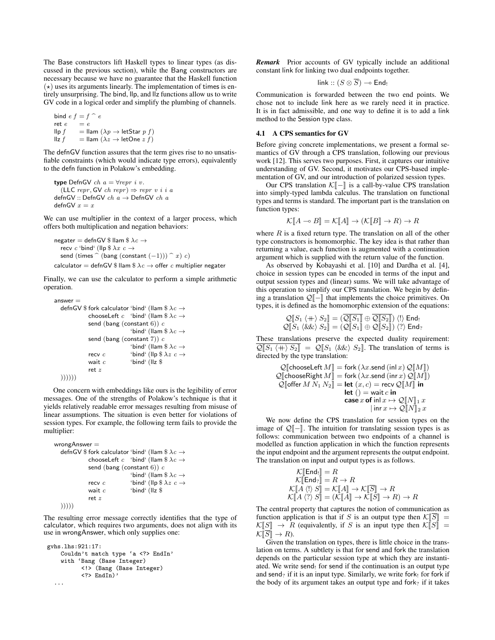The Base constructors lift Haskell types to linear types (as discussed in the previous section), while the Bang constructors are necessary because we have no guarantee that the Haskell function  $(\star)$  uses its arguments linearly. The implementation of times is entirely unsurprising. The bind, llp, and llz functions allow us to write GV code in a logical order and simplify the plumbing of channels.

```
bind e f = f^{\frown} e<br>ret e = eret e\text{llp } f = \text{llam } (\lambda p \rightarrow \text{letStar } p f)\existsllz f = \text{Ham}(\lambda z \rightarrow \text{letOne } z f)
```
The defnGV function assures that the term gives rise to no unsatisfiable constraints (which would indicate type errors), equivalently to the defn function in Polakow's embedding.

```
type DefnGV ch a = \forall repr \ i \ v.
  (LLC repr, GV ch repr) \Rightarrow repr v i i a
defnGV :: DefnGV ch\ a \rightarrow DefnGV ch\ adefnGV x = x
```
We can use multiplier in the context of a larger process, which offers both multiplication and negation behaviors:

```
negater = defnGV $ llam $\lambda c \rightarrowrecv c 'bind' (llp \$\lambda x \ c \rightarrowsend (times \hat{\ } (bang (constant (-1))) \hat{x}) c)
```
calculator = defnGV \$ llam \$  $\lambda c \rightarrow$  offer c multiplier negater

Finally, we can use the calculator to perform a simple arithmetic operation.

```
answer =defnGV $ fork calculator 'bind' (llam $ \lambda c \rightarrowchooseLeft c 'bind' (llam \delta \lambda c \rightarrowsend (bang (constant 6)) c
                                   'bind' (llam \$\lambda c \rightarrowsend (bang (constant 7)) c
                                   'bind' (llam \$\lambda c \rightarrowrecv c 'bind' (llp \& \lambda z \ c \rightarrowwait c 'bind' (llz \$\ret z
  ))))))
```
One concern with embeddings like ours is the legibility of error messages. One of the strengths of Polakow's technique is that it yields relatively readable error messages resulting from misuse of linear assumptions. The situation is even better for violations of session types. For example, the following term fails to provide the multiplier:

```
wrongAnswer =defnGV $ fork calculator 'bind' (llam $ \lambda c \rightarrowchooseLeft c 'bind' (llam \delta \lambda c \rightarrowsend (bang (constant 6)) c
                                  'bind' (llam \$\lambda c \rightarrowrecv c 'bind' (llp \& \lambda z \ c \rightarrowwait c 'bind' (llz \$\ret z
  )))))
```
The resulting error message correctly identifies that the type of calculator, which requires two arguments, does not align with its use in wrongAnswer, which only supplies one:

```
gvhs.lhs:921:17:
    Couldn't match type 'a <?> EndIn'
    with 'Bang (Base Integer)
          <!> (Bang (Base Integer)
          <?> EndIn)'
  ...
```
*Remark* Prior accounts of GV typically include an additional constant link for linking two dual endpoints together.

$$
\mathsf{link} :: (S \otimes \overline{S}) \multimap \mathsf{End}_!
$$

Communication is forwarded between the two end points. We chose not to include link here as we rarely need it in practice. It is in fact admissible, and one way to define it is to add a link method to the Session type class.

#### <span id="page-6-0"></span>4.1 A CPS semantics for GV

Before giving concrete implementations, we present a formal semantics of GV through a CPS translation, following our previous work [\[12\]](#page-13-4). This serves two purposes. First, it captures our intuitive understanding of GV. Second, it motivates our CPS-based implementation of GV, and our introduction of polarized session types.

Our CPS translation  $\mathcal{K}$ [-] is a call-by-value CPS translation into simply-typed lambda calculus. The translation on functional types and terms is standard. The important part is the translation on function types:

$$
\mathcal{K}[\![A\multimap B]\!] = \mathcal{K}[\![A]\!] \to (\mathcal{K}[\![B]\!] \to R) \to R
$$

where  $R$  is a fixed return type. The translation on all of the other type constructors is homomorphic. The key idea is that rather than returning a value, each function is augmented with a continuation argument which is supplied with the return value of the function.

As observed by Kobayashi et al. [\[10\]](#page-13-14) and Dardha et al. [\[4\]](#page-13-15), choice in session types can be encoded in terms of the input and output session types and (linear) sums. We will take advantage of this operation to simplify our CPS translation. We begin by defining a translation  $Q\llbracket - \rrbracket$  that implements the choice primitives. On types, it is defined as the homomorphic extension of the equations:

$$
Q[[S_1 \langle + \rangle S_2]] = (\overline{Q[[S_1]]} \oplus \overline{Q[[S_2]]}) \langle ! \rangle \text{ End}_!
$$
  

$$
Q[[S_1 \langle \& \& \rangle S_2]] = (\overline{Q[[S_1]]} \oplus \overline{Q[[S_2]]}) \langle ? \rangle \text{ End}_?
$$

These translations preserve the expected duality requirement:  $\mathcal{Q}[S_1 \langle +\rangle S_2] = \mathcal{Q}[S_1 \langle k\⟩ S_2]$ . The translation of terms is directed by the type translation:

<sup>Q</sup>JchooseLeft <sup>M</sup><sup>K</sup> <sup>=</sup> fork (λx.send (inl <sup>x</sup>) <sup>Q</sup>JMK) <sup>Q</sup>JchooseRight <sup>M</sup><sup>K</sup> <sup>=</sup> fork (λx.send (inr <sup>x</sup>) <sup>Q</sup>JMK) <sup>Q</sup>Joffer M N<sup>1</sup> <sup>N</sup><sup>2</sup><sup>K</sup> <sup>=</sup> let (x, c) = recv <sup>Q</sup>JM<sup>K</sup> in let () = wait c in case <sup>x</sup> of inl <sup>x</sup> 7→ QJNK<sup>1</sup> <sup>x</sup> <sup>|</sup> inr <sup>x</sup> 7→ QJNK<sup>2</sup> <sup>x</sup>

We now define the CPS translation for session types on the image of  $Q\llbracket -\rrbracket$ . The intuition for translating session types is as follows: communication between two endpoints of a channel is modelled as function application in which the function represents the input endpoint and the argument represents the output endpoint. The translation on input and output types is as follows.

$$
\mathcal{K}[\mathbb{E}nd_!] = R
$$
  
\n
$$
\mathcal{K}[\mathbb{E}nd_?] = R \to R
$$
  
\n
$$
\mathcal{K}[\![A \langle ! \rangle S ]\!] = \mathcal{K}[\![A]\!] \to \mathcal{K}[\![\overline{S}]\!] \to R
$$
  
\n
$$
\mathcal{K}[\![A \langle ? \rangle S]\!] = (\mathcal{K}[\![A]\!] \to \mathcal{K}[\![S]\!] \to R) \to R
$$

The central property that captures the notion of communication as function application is that if S is an output type then  $\mathcal{K}[\overline{S}]$  =  $\mathcal{K}[[S]] \rightarrow R$  (equivalently, if S is an input type then  $\mathcal{K}[[S]] =$  $\mathcal{K}[\overline{S}] \to R$ ).

Given the translation on types, there is little choice in the translation on terms. A subtlety is that for send and fork the translation depends on the particular session type at which they are instantiated. We write send for send if the continuation is an output type and send? if it is an input type. Similarly, we write fork! for fork if the body of its argument takes an output type and fork? if it takes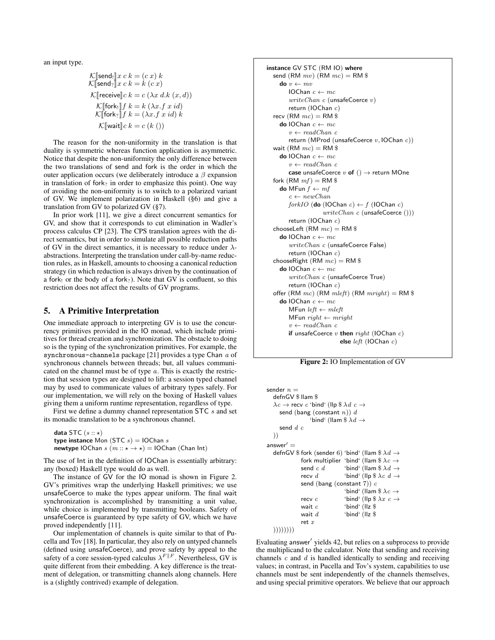an input type.

$$
\mathcal{K}[\text{send}]\,x \, c \, k = (c \, x) \, k
$$
\n
$$
\mathcal{K}[\text{send}_?]\,x \, c \, k = k \, (c \, x)
$$
\n
$$
\mathcal{K}[\text{receive}]\,c \, k = c \, (\lambda x \, d \cdot k \, (x, d))
$$
\n
$$
\mathcal{K}[\text{fork}]\,f \, k = k \, (\lambda x \cdot f \, x \, id)
$$
\n
$$
\mathcal{K}[\text{fork}?\,f \, k = (\lambda x \cdot f \, x \, id) \, k
$$
\n
$$
\mathcal{K}[\text{wait}]\,c \, k = c \, (k \, () )
$$

The reason for the non-uniformity in the translation is that duality is symmetric whereas function application is asymmetric. Notice that despite the non-uniformity the only difference between the two translations of send and fork is the order in which the outer application occurs (we deliberately introduce a  $\beta$  expansion in translation of fork? in order to emphasize this point). One way of avoiding the non-uniformity is to switch to a polarized variant of GV. We implement polarization in Haskell ([§6\)](#page-8-0) and give a translation from GV to polarized GV ([§7\)](#page-10-0).

In prior work [\[11\]](#page-13-3), we give a direct concurrent semantics for GV, and show that it corresponds to cut elimination in Wadler's process calculus CP [\[23\]](#page-13-13). The CPS translation agrees with the direct semantics, but in order to simulate all possible reduction paths of GV in the direct semantics, it is necessary to reduce under  $\lambda$ abstractions. Interpreting the translation under call-by-name reduction rules, as in Haskell, amounts to choosing a canonical reduction strategy (in which reduction is always driven by the continuation of a fork! or the body of a fork?). Note that GV is confluent, so this restriction does not affect the results of GV programs.

#### 5. A Primitive Interpretation

One immediate approach to interpreting GV is to use the concurrency primitives provided in the IO monad, which include primitives for thread creation and synchronization. The obstacle to doing so is the typing of the synchronization primitives. For example, the synchronous-channels package [\[21\]](#page-13-16) provides a type Chan a of synchronous channels between threads; but, all values communicated on the channel must be of type a. This is exactly the restriction that session types are designed to lift: a session typed channel may by used to communicate values of arbitrary types safely. For our implementation, we will rely on the boxing of Haskell values giving them a uniform runtime representation, regardless of type.

First we define a dummy channel representation STC s and set its monadic translation to be a synchronous channel.

```
data STC (s::*)type instance Mon (STC s) = IOChan snewtype IOChan s (m::* \rightarrow *) = IOChan (Chan Int)
```
The use of Int in the definition of IOChan is essentially arbitrary: any (boxed) Haskell type would do as well.

The instance of GV for the IO monad is shown in Figure [2.](#page-7-0) GV's primitives wrap the underlying Haskell primitives; we use unsafeCoerce to make the types appear uniform. The final wait synchronization is accomplished by transmitting a unit value, while choice is implemented by transmitting booleans. Safety of unsafeCoerce is guaranteed by type safety of GV, which we have proved independently [\[11\]](#page-13-3).

Our implementation of channels is quite similar to that of Pucella and Tov [\[18\]](#page-13-17). In particular, they also rely on untyped channels (defined using unsafeCoerce), and prove safety by appeal to the safety of a core session-typed calculus  $\lambda^{F \parallel F}$ . Nevertheless, GV is quite different from their embedding. A key difference is the treatment of delegation, or transmitting channels along channels. Here is a (slightly contrived) example of delegation.

```
instance GV STC (RM IO) where
  send (RM mv) (RM mc) = RM $
    do v \leftarrow mvIOChan c ← mcwriteChan c (unsafeCoerce v)
        return (IOChan c)
  recv (RM mc) = RM $
    do IOChan c \leftarrow mcv \leftarrow readChan \ creturn (MProd (unsafeCoerce v, IOChan c))
  wait (RM mc) = RM $
    do IOChan c \leftarrow mcv \leftarrow readChan \ ccase unsafeCoerce v of () \rightarrow return MOne
  fork (RM \text{ mf}) = RM \text{S}do MFun f \leftarrow mfc \leftarrow newChanforkIO (do (IOChan c) \leftarrow f (IOChan c)
                     writeChan\ c (unsafeCoerce ()))
        return (IOChan c)
  chooseLeft (RM mc) = RM $
    do IOChan c \leftarrow mcwriteChan c (unsafeCoerce False)
        return (IOChan c)
  chooseRight (RM mc) = RM $
    do IOChan c \leftarrow mcwriteChan c (unsafeCoerce True)
        return (IOChan c)
  offer (RM mc) (RM mleft) (RM mright) = RM $
    do IOChan c \leftarrow mcMFun left \leftarrow mleftMFun right \leftarrow mrightv \leftarrow \text{readChan } cif unsafeCoerce v then right (IOChan c)
                           else left (IOChan c)
```
<span id="page-7-0"></span>

```
sender n =defnGV $ llam $
   \lambda c \rightarrow recv c 'bind' (llp $ \lambda d c \rightarrowsend (bang (constant n)) d
                   'bind' (llam \$\lambda d \rightarrowsend d c))
answer' =defnGV $ fork (sender 6) 'bind' (llam $ \lambda d \rightarrowfork multiplier 'bind' (llam \delta \lambda c \rightarrowsend c d 'bind' (llam \lambda d \rightarrowrecv d 'bind' (llp \& \lambda c \, d \rightarrowsend (bang (constant 7)) c
                                   'bind' (llam \$\lambda c \rightarrowrecv c 'bind' (llp \& \lambda x \ c \rightarrowwait c 'bind' (llz \$\wait d 'bind' (llz \$\ret x))))))))
```
Evaluating answer' yields 42, but relies on a subprocess to provide the multiplicand to the calculator. Note that sending and receiving channels  $c$  and  $d$  is handled identically to sending and receiving values; in contrast, in Pucella and Tov's system, capabilities to use channels must be sent independently of the channels themselves, and using special primitive operators. We believe that our approach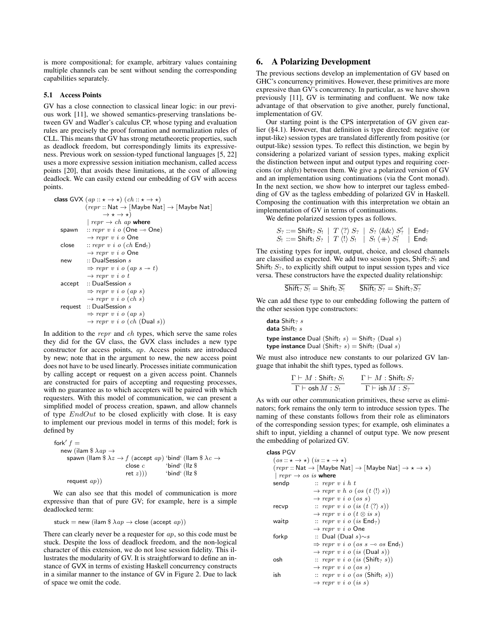is more compositional; for example, arbitrary values containing multiple channels can be sent without sending the corresponding capabilities separately.

#### 5.1 Access Points

GV has a close connection to classical linear logic: in our previous work [\[11\]](#page-13-3), we showed semantics-preserving translations between GV and Wadler's calculus CP, whose typing and evaluation rules are precisely the proof formation and normalization rules of CLL. This means that GV has strong metatheoretic properties, such as deadlock freedom, but correspondingly limits its expressiveness. Previous work on session-typed functional languages [\[5,](#page-13-8) [22\]](#page-13-9) uses a more expressive session initiation mechanism, called access points [\[20\]](#page-13-2), that avoids these limitations, at the cost of allowing deadlock. We can easily extend our embedding of GV with access points.

|        | class GVX $(ap::\star \rightarrow \star)$ $(ch::\star \rightarrow \star)$                                   |
|--------|-------------------------------------------------------------------------------------------------------------|
|        | $(repr::\mathsf{Nat} \rightarrow [\mathsf{Maybe}\ \mathsf{Nat}] \rightarrow [\mathsf{Maybe}\ \mathsf{Nat}]$ |
|        | $\rightarrow \star \rightarrow \star)$                                                                      |
|        | $\vert$ repr $\rightarrow$ ch ap where                                                                      |
| spawn  | $::repr \ v \ i \ o \ (One \multimap One)$                                                                  |
|        | $\rightarrow$ repr v i o One                                                                                |
| close  | $::repr \ v \ i \ o \ (ch \ End_1)$                                                                         |
|        | $\rightarrow$ repr v i o One                                                                                |
| new    | $\therefore$ DualSession $s$                                                                                |
|        | $\Rightarrow$ repr v i o (ap s $\rightarrow$ t)                                                             |
|        | $\rightarrow$ repr v i o t                                                                                  |
| accept | $\therefore$ DualSession $s$                                                                                |
|        | $\Rightarrow$ repr v i o (ap s)                                                                             |
|        | $\rightarrow$ repr v i o (ch s)                                                                             |
|        | request :: DualSession s                                                                                    |
|        | $\Rightarrow$ repr v i o (ap s)                                                                             |
|        | $\rightarrow$ repr v i o (ch (Dual s))                                                                      |

In addition to the  $repr$  and  $ch$  types, which serve the same roles they did for the GV class, the GVX class includes a new type constructor for access points, ap. Access points are introduced by new; note that in the argument to new, the new access point does not have to be used linearly. Processes initiate communication by calling accept or request on a given access point. Channels are constructed for pairs of accepting and requesting processes, with no guarantee as to which accepters will be paired with which requesters. With this model of communication, we can present a simplified model of process creation, spawn, and allow channels of type  $EndOut$  to be closed explicitly with close. It is easy to implement our previous model in terms of this model; fork is defined by

$$
\begin{aligned}\n\text{fork}' & f &= \\
& \text{new (ilam \$ \lambda ap \to \text{space } x) \cdot bind'} \text{ (llam \$ \lambda c \to \text{space } x) \cdot bind'} \\
& \text{space } c \quad \text{``bind' (llz \$ \text{space } x)) \cdot bind'} \text{ (llz \$ \text{space } ap)} \\
& \text{request } ap))\n\end{aligned}
$$

We can also see that this model of communication is more expressive than that of pure GV; for example, here is a simple deadlocked term:

stuck = new (ilam  $\lambda ap \rightarrow$  close (accept  $ap$ ))

There can clearly never be a requester for ap, so this code must be stuck. Despite the loss of deadlock freedom, and the non-logical character of this extension, we do not lose session fidelity. This illustrates the modularity of GV. It is straightforward to define an instance of GVX in terms of existing Haskell concurrency constructs in a similar manner to the instance of GV in Figure [2.](#page-7-0) Due to lack of space we omit the code.

## <span id="page-8-0"></span>6. A Polarizing Development

The previous sections develop an implementation of GV based on GHC's concurrency primitives. However, these primitives are more expressive than GV's concurrency. In particular, as we have shown previously [\[11\]](#page-13-3), GV is terminating and confluent. We now take advantage of that observation to give another, purely functional, implementation of GV.

Our starting point is the CPS interpretation of GV given earlier ([§4.1\)](#page-6-0). However, that definition is type directed: negative (or input-like) session types are translated differently from positive (or output-like) session types. To reflect this distinction, we begin by considering a polarized variant of session types, making explicit the distinction between input and output types and requiring coercions (or *shifts*) between them. We give a polarized version of GV and an implementation using continuations (via the Cont monad). In the next section, we show how to interpret our tagless embedding of GV as the tagless embedding of polarized GV in Haskell. Composing the continuation with this interpretation we obtain an implementation of GV in terms of continuations.

We define polarized session types as follows.

$$
S_? ::= \textsf{Shift}_? \ S_! \mid T \langle ? \rangle \ S_? \mid S_? \langle \& \& \rangle \ S_? \mid \textsf{End}_? S_! ::= \textsf{Shift}_! \ S_? \mid T \langle ! \rangle \ S_! \mid S_! \langle + \rangle \ S_!' \mid \textsf{End}_!
$$

The existing types for input, output, choice, and closed channels are classified as expected. We add two session types,  $\text{Shift}_2S_1$  and Shift!  $S_?$ , to explicitly shift output to input session types and vice versa. These constructors have the expected duality relationship:

$$
\overline{\mathsf{Shift}_? S_!} = \mathsf{Shift}_! \ \overline{S_!} \qquad \overline{\mathsf{Shift}_! S_?} = \mathsf{Shift}_? \overline{S_?}
$$

We can add these type to our embedding following the pattern of the other session type constructors:

data Shift $s$  s data Shift! s type instance Dual (Shift<sub>!</sub>  $s$ ) = Shift<sub>?</sub> (Dual  $s$ ) type instance Dual (Shift<sub>?</sub>  $s$ ) = Shift<sub>!</sub> (Dual  $s$ )

We must also introduce new constants to our polarized GV language that inhabit the shift types, typed as follows.

$$
\frac{\Gamma \vdash M : \mathsf{Shift}_? S_!}{\Gamma \vdash \mathsf{osh}\,M : S_!} \qquad \frac{\Gamma \vdash M : \mathsf{Shift}_! S_?}{\Gamma \vdash \mathsf{ish}\,M : S_?}
$$

As with our other communication primitives, these serve as eliminators; fork remains the only term to introduce session types. The naming of these constants follows from their role as eliminators of the corresponding session types; for example, osh eliminates a shift to input, yielding a channel of output type. We now present the embedding of polarized GV.

```
class PGV
```

|                                        | $(\omega s :: \star \rightarrow \star)$ $(is :: \star \rightarrow \star)$                                  |  |  |  |  |
|----------------------------------------|------------------------------------------------------------------------------------------------------------|--|--|--|--|
|                                        | $(repr::\mathsf{Nat}\to [\mathsf{Maybe}\ \mathsf{Nat}]\to [\mathsf{Maybe}\ \mathsf{Nat}]\to\star\to\star)$ |  |  |  |  |
| $\vert$ repr $\rightarrow$ os is where |                                                                                                            |  |  |  |  |
| sendp                                  | $\therefore$ repr v i h t                                                                                  |  |  |  |  |
|                                        | $\rightarrow$ repr v h o (os (t $\langle \cdot   s \rangle$ )                                              |  |  |  |  |
|                                        | $\rightarrow$ repr v i o (os s)                                                                            |  |  |  |  |
| recvp                                  | $\therefore$ repr v i o (is (t $\langle ? \rangle$ s))                                                     |  |  |  |  |
|                                        | $\rightarrow$ repr v i o (t $\otimes$ is s)                                                                |  |  |  |  |
| waitp                                  | $\therefore$ repr v i o (is End?)                                                                          |  |  |  |  |
|                                        | $\rightarrow$ repr v i o One                                                                               |  |  |  |  |
| forkp                                  | $\therefore$ Dual (Dual $s \rightarrow s$                                                                  |  |  |  |  |
|                                        | $\Rightarrow$ repr v i o (os s $\multimap$ os End <sub>1</sub> )                                           |  |  |  |  |
|                                        | $\rightarrow$ repr v i o (is (Dual s))                                                                     |  |  |  |  |
| osh                                    | $::$ repr v i o (is (Shift <sub>?</sub> s))                                                                |  |  |  |  |
|                                        | $\rightarrow$ repr v i o (os s)                                                                            |  |  |  |  |
| ish                                    | $::$ repr v i o (os (Shift <sub>!</sub> s))                                                                |  |  |  |  |
|                                        | $\rightarrow$ repr v i o (is s)                                                                            |  |  |  |  |
|                                        |                                                                                                            |  |  |  |  |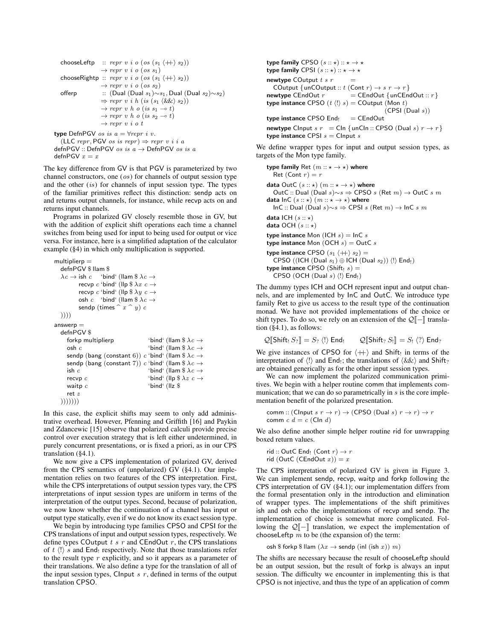```
chooseLeftp :: repr \ v \ i \ o \ (os \ (s_1 \ \langle +\rangle \ s_2))\rightarrow repr v i o (os s<sub>1</sub>)
   chooseRightp :: repr \ v \ i \ o \ (os \ (s_1 \ \langle +\rangle \ s_2))\rightarrow repr v i o (os s<sub>2</sub>)
   offerp :: (Dual (Dual s<sub>1</sub>)∼s<sub>1</sub>, Dual (Dual s<sub>2</sub>)∼s<sub>2</sub>)
                          \Rightarrow repr v i h (is (s<sub>1</sub> \langle \&\&\rangles<sub>2</sub>))
                          \rightarrow repr v h o (is s<sub>1</sub> \rightarrow t)
                          \rightarrow repr v h o (is s<sub>2</sub> \rightarrow t)
                          \rightarrow repr v i o t
type DefnPGV os is a = \forall repr \ i \ v.
    (LLC repr, PGV \ os \ is \ repr) \Rightarrow repr \ v \ i \ i \ adefnPGV :: DefnPGV os is a \rightarrow DefnPGV os is a
defnPGV x = x
```
The key difference from GV is that PGV is parameterized by two channel constructors, one (os) for channels of output session type and the other (is) for channels of input session type. The types of the familiar primitives reflect this distinction: sendp acts on and returns output channels, for instance, while recvp acts on and returns input channels.

Programs in polarized GV closely resemble those in GV, but with the addition of explicit shift operations each time a channel switches from being used for input to being used for output or vice versa. For instance, here is a simplified adaptation of the calculator example ([§4\)](#page-4-0) in which only multiplication is supported.

```
multiplierp =defnPGV $ llam $
  \lambda c \rightarrow \text{ish } c 'bind' (llam $ \lambda c \rightarrowrecvp c 'bind' (llp \$\lambda x\ c\torecvp c 'bind' (llp \$\lambda y c \rightarrowosh c 'bind' (llam \alpha \rightarrowsendp (times \hat{a} x \hat{b} y) c))))
answerp =defnPGV $
     forkp multiplierp 'bind' (llam \delta \lambda c \rightarrowosh c 'bind' (llam \& \lambda c \rightarrowsendp (bang (constant 6)) c 'bind' (llam $ \lambda c \rightarrowsendp (bang (constant 7)) c 'bind' (llam \$\lambda c\toish c \qquad \qquad 'bind' (llam \Rightarrow \qquadrecvp c c \rightarrow 'bind' (llp \& \lambda z \cdot c \rightarrowwaitp c 'bind' (llz \$\ret z
  )))))))
```
In this case, the explicit shifts may seem to only add administrative overhead. However, Pfenning and Griffith [\[16\]](#page-13-18) and Paykin and Zdancewic [\[15\]](#page-13-19) observe that polarized calculi provide precise control over execution strategy that is left either undetermined, in purely concurrent presentations, or is fixed a priori, as in our CPS translation ([§4.1\)](#page-6-0).

We now give a CPS implementation of polarized GV, derived from the CPS semantics of (unpolarized) GV ([§4.1\)](#page-6-0). Our implementation relies on two features of the CPS interpretation. First, while the CPS interpretations of output session types vary, the CPS interpretations of input session types are uniform in terms of the interpretation of the output types. Second, because of polarization, we now know whether the continuation of a channel has input or output type statically, even if we do not know its exact session type.

We begin by introducing type families CPSO and CPSI for the CPS translations of input and output session types, respectively. We define types COutput  $t s r$  and CEndOut  $r$ , the CPS translations of  $t \langle \cdot \rangle$  s and End! respectively. Note that those translations refer to the result type  $r$  explicitly, and so it appears as a parameter of their translations. We also define a type for the translation of all of the input session types, Clnput  $s$  r, defined in terms of the output translation CPSO.

```
type family CPSO (s::\star)::\star \rightarrow \startype family CPSI (s::*):: \star \rightarrow \starnewtype COutput t s rCOutput {unCOutput :: t (Cont r) \rightarrow s r \rightarrow r }
\mathsf{newtype} CEndOut r = \mathsf{CEndOut} {unCEndOut :: r }
type instance CPSO (t \langle \cdot | s) = COutput (Mon t)
                                              (CPSI (Dual s))type instance CPSO End_! = CEndOut
newtype Clnput s r =Cln \{unCln :: CPSO (Dual s) r \rightarrow r}
type instance CPSI s = Clnput s
```
We define wrapper types for input and output session types, as targets of the Mon type family.

type family Ret  $(m::* \rightarrow *)$  where Ret (Cont  $r$ ) =  $r$ data OutC  $(s::\star)$   $(m::\star \rightarrow \star)$  where OutC :: Dual (Dual s)∼s  $\Rightarrow$  CPSO s (Ret m)  $\rightarrow$  OutC s m data InC  $(s::\star)$   $(m::\star \rightarrow \star)$  where InC :: Dual (Dual s)∼s  $\Rightarrow$  CPSI s (Ret m)  $\rightarrow$  InC s m data ICH  $(s::*)$ data OCH  $(s::*)$ type instance Mon  $(ICH s) = InC s$ type instance Mon  $(OCH s) = OutC s$ type instance CPSO  $(s_1 \langle +\rangle s_2)$  = CPSO ((ICH (Dual  $s_1$ ) ⊕ ICH (Dual  $s_2$ )) (!) Endi) type instance CPSO (Shift $s$ ) = CPSO (OCH (Dual  $s$ )  $\langle$ ! $\rangle$  End!)

The dummy types ICH and OCH represent input and output channels, and are implemented by InC and OutC. We introduce type family Ret to give us access to the result type of the continuation monad. We have not provided implementations of the choice or shift types. To do so, we rely on an extension of the  $\mathcal{Q}$ [-| translation ([§4.1\)](#page-6-0), as follows:

```
\mathcal{Q}[\nShift! S_? \rVert = S_? \langle \cdot \rangle End! \qquad \mathcal{Q}[\nShift? S_! \rVert = S_! \langle \cdot \rangle End?
```
We give instances of CPSO for  $\langle +\rangle$  and Shift! in terms of the interpretation of  $\langle \cdot \rangle$  and End<sub>!</sub>; the translations of  $\langle \&\&\rangle$  and Shift? are obtained generically as for the other input session types.

We can now implement the polarized communication primitives. We begin with a helper routine comm that implements communication; that we can do so parametrically in  $s$  is the core implementation benefit of the polarized presentation.

$$
comm::(Chput s r \rightarrow r) \rightarrow (CPSO (Dual s) r \rightarrow r) \rightarrow r
$$
  

$$
comm c d = c (Cln d)
$$

We also define another simple helper routine rid for unwrapping boxed return values.

```
rid :: OutC End<sub>!</sub> (Cont r) \rightarrow rrid (OutC (CEndOut x)) = x
```
The CPS interpretation of polarized GV is given in Figure [3.](#page-10-1) We can implement sendp, recvp, waitp and forkp following the CPS interpretation of GV ([§4.1\)](#page-6-0); our implementation differs from the formal presentation only in the introduction and elimination of wrapper types. The implementations of the shift primitives ish and osh echo the implementations of recvp and sendp. The implementation of choice is somewhat more complicated. Following the  $\mathcal{Q}$ [-| translation, we expect the implementation of chooseLeftp  $m$  to be (the expansion of) the term:

osh \$ forkp \$ llam  $(\lambda x \rightarrow$  sendp (inl (ish x)) m)

The shifts are necessary because the result of chooseLeftp should be an output session, but the result of forkp is always an input session. The difficulty we encounter in implementing this is that CPSO is not injective, and thus the type of an application of comm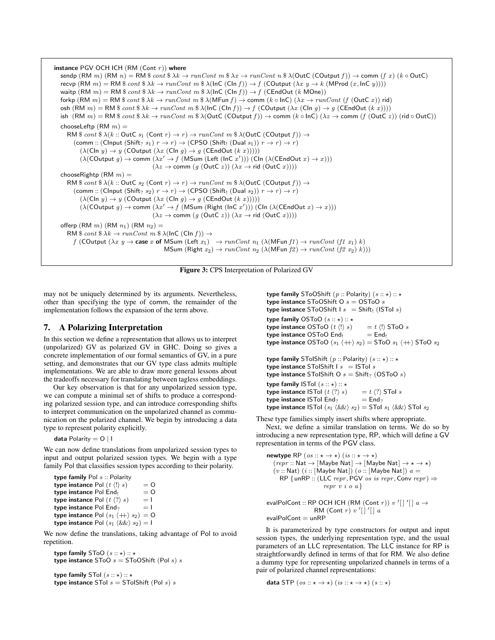```
instance PGV OCH ICH (RM (Cont r)) where
  sendp (RM m) (RM n) = RM $ cont $ \lambda k \to runCont \; m $ \lambda x \to runCont \; n $ \lambda(OutC (COutput f)) \to comm (f x) (k \circOutC)
  recvp (RM \ m) = RM \ cont \ \lambda k \rightarrow runCont \ m \ \lambda(InC (Cln \ f)) \rightarrow f (COutput (\lambda x \ y \rightarrow k \ (MProd (x, lnC \ y))))waitp (RM \text{ m}) = RM \text{ s} cont \text{ s} \lambda k \rightarrow runCont \text{ m} \text{ s} \lambda(\text{lnC (Cln } f)) \rightarrow f (CEndOut (k MOne))
  forkp (RM m) = RM $ cont $ \lambda k \to runCont \ m $ \lambda(MFun f) \to comm (k \circ InC) (\lambda x \to runCont \ (f (OutC x)) rid)
  osh (RM \ m) = RM \ cont \ \lambda k \rightarrow runCont \ m \ \lambda(lnC (CIn f)) \rightarrow f (COutput (\lambda x (CIn g) \rightarrow g (CEndOut (k x))))ish (RM m) = RM $ cont $ \lambda k \rightarrow runCont $ $ \lambda (OutC (COutput f)) \rightarrow comm (k \circ lnC) (\lambda z \rightarrow comm (f (OutC z)) (rid \circ OutC))chooseLeftp (RM \ m) =
      RM $ cont $ λ(k :: OutC s1 (Cont r) → r) → runCont m $ λ(OutC (COutput f )) →
         (comm :: (Clnput (Shift? s_1) r \to r) \to (CPSO (Shift! (Dual s_1)) r \to r) \to r)
            (\lambda(Cln y) \rightarrow y (COutput (\lambda x \text{ (CIn } g) \rightarrow g \text{ (CEndOut } (k x)))))
             (\lambda(COutput g) \to \text{comm } (\lambda x' \to f \text{ (MSum (Left (lnC x')))} (Ch (\lambda (CEndOut x) \to x)))(\lambda z \rightarrow \text{comm} (g (\text{OutC } z)) (\lambda x \rightarrow \text{rid} (\text{OutC } x))))chooseRightp (RM \ m) =
      RM \$ cont \\lambda(k::OutC \ s_2 (Cont r) \rightarrow r) \rightarrow runCont \ m\\lambda(OutC (COutput f)) \rightarrow(comm :: (Clnput (Shift<sub>?</sub> s_2) r \to r) \to (CPSO (Shift<sub>!</sub> (Dual s_2)) r \to r) \to r)
            (\lambda(Cln y) \rightarrow y (COutput (\lambda x \text{ (CIn } g) \rightarrow g \text{ (CEndOut } (k x)))))
             (\lambda(COutput g) \to \text{comm } (\lambda x' \to f \text{ (MSum (Right (InC x')))} (Ch (\lambda (CEndOut x) \to x)))(\lambda z \rightarrow \text{comm} (g (\text{OutC } z)) (\lambda x \rightarrow \text{rid} (\text{OutC } x))))offerp (RM m) (RM n_1) (RM n_2) =
      RM $ cont \lambda k \to runCont \; m \; \lambda (lnC (CIn \; f)) \tof (COutput (\lambda x y \rightarrow \text{case } x \text{ of } \text{MSum } (\text{Left } x_1) \rightarrow runCont n_1 (\lambda(\text{MFun } f1) \rightarrow runCont (f1 x_1) k))MSum (Right x_2) \rightarrow runCont n_2 (\lambda(MFun f2) \rightarrow runCont (f2 x_2) k)))
```


<span id="page-10-1"></span>may not be uniquely determined by its arguments. Nevertheless, other than specifying the type of comm, the remainder of the implementation follows the expansion of the term above.

## <span id="page-10-0"></span>7. A Polarizing Interpretation

In this section we define a representation that allows us to interpret (unpolarized) GV as polarized GV in GHC. Doing so gives a concrete implementation of our formal semantics of GV, in a pure setting, and demonstrates that our GV type class admits multiple implementations. We are able to draw more general lessons about the tradeoffs necessary for translating between tagless embeddings.

Our key observation is that for any unpolarized session type, we can compute a minimal set of shifts to produce a corresponding polarized session type, and can introduce corresponding shifts to interpret communication on the unpolarized channel as communication on the polarized channel. We begin by introducing a data type to represent polarity explicitly.

```
data Polarity = O | I
```
We can now define translations from unpolarized session types to input and output polarized session types. We begin with a type family Pol that classifies session types according to their polarity.

```
type family Pol s :: Polarity
type instance Pol (t \langle \cdot | s \rangle) = O
type instance Pol End_{!} = O
type instance Pol (t \langle ? \rangle s) = 1type instance Pol End? = I
type instance Pol (s_1 \langle +\rangle s_2) = 0type instance Pol (s_1 \langle \& \& \rangle s_2) = 1
```
We now define the translations, taking advantage of Pol to avoid repetition.

```
type family SToO (s::\star)::\startype instance SToO s = SToOShift (Pol s) s
```

```
type family STol (s::\star)::\startype instance SToI s = SToIShift (PoI s) s
```
type family SToOShift  $(p:: \text{Polarity})$   $(s:: \star) :: \star$ type instance SToOShift O  $s =$  OSToO  $s$ type instance SToOShift I  $s =$  Shift! (ISToI s) type family OSToO  $(s::\star)::\star$ type instance OSToO  $(t \langle \cdot | s \rangle)$  =  $t \langle \cdot | s \rangle$  SToO s type instance  $OSToO$  End $I = End$ type instance OSToO  $(s_1 \langle +\rangle s_2)$  = SToO  $s_1 \langle +\rangle$  SToO  $s_2$ 

```
type family STolShift (p:: \text{Polarity}) (s:: \star) :: \startype instance STolShift \vert s \vert = ISTol s
type instance STolShift O s = Shift? (OSToO s)type family |STol(s::\star)::\startype instance ISToI (t \langle ? \rangle s) = t \langle ? \rangle SToI s
type instance ISToI End? = End?
```
type instance ISToI  $(s_1 \langle k \& k \rangle s_2) =$  SToI  $s_1 \langle k \& k \rangle$  SToI  $s_2$ 

These type families simply insert shifts where appropriate.

Next, we define a similar translation on terms. We do so by introducing a new representation type, RP, which will define a GV representation in terms of the PGV class.

```
newtype RP (os :: \star \rightarrow \star) (is :: \star \rightarrow \star)(repr:: Nat \rightarrow [Maybe Nat] \rightarrow [Maybe Nat] \rightarrow \star \rightarrow \star)(v:: \textsf{Nat}) (i:: \textsf{[Maybe Nat]}) (o:: \textsf{[Maybe Nat]}) a =RP {unRP :: (LLC repr, PGV os is repr, Conv repr) \Rightarrowrepr v i o a }
```

```
evalPolCont :: RP OCH ICH (RM (Cont r)) v' ||' || a \rightarrowRM (Cont r) v '[] '[] aevalPolCont = unRP
```
It is parameterized by type constructors for output and input session types, the underlying representation type, and the usual parameters of an LLC representation. The LLC instance for RP is straightforwardly defined in terms of that for RM. We also define a dummy type for representing unpolarized channels in terms of a pair of polarized channel representations:

```
data STP (os::\star \rightarrow \star) (is::\star \rightarrow \star) (s::\star)
```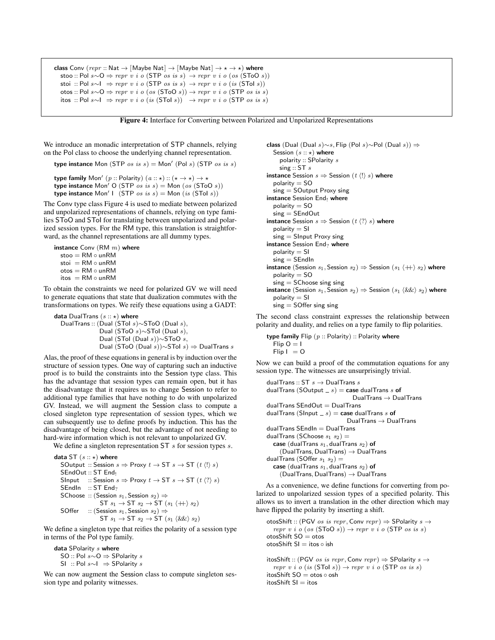```
class Conv (repr :: Nat \rightarrow [Maybe Nat] \rightarrow [Maybe Nat] \rightarrow \star \rightarrow \star) where
  stoo :: Pol s∼O ⇒ repr v i o (STP os is s) → repr v i o (os (SToO s))
  stoi :: Pol s∼I ⇒ repr v i o (STP os is s) → repr v i o (is (SToI s))
  otos :: Pol s∼O \Rightarrow repr v i o (os (SToO s)) \rightarrow repr v i o (STP os is s)
  itos :: Pol s∼I ⇒ repr v i o (is (SToI s)) → repr v i o (STP os is s)
```
Figure 4: Interface for Converting between Polarized and Unpolarized Representations

<span id="page-11-0"></span>We introduce an monadic interpretation of STP channels, relying on the Pol class to choose the underlying channel representation.

type instance Mon  $(STP \text{ os } is \text{ s}) = Mon' (Pol \text{ s}) (STP \text{ os } is \text{ s})$ 

type family Mon'  $(p::$  Polarity)  $(a::\star) :: (\star \to \star) \to \star$ type instance Mon<sup>'</sup> O (STP *os is s*) = Mon (*os* (SToO *s*)) type instance Mon' I  $(STP \text{ os } is \text{ s}) = \text{Mon } (is (STol \text{ s}))$ 

The Conv type class Figure [4](#page-11-0) is used to mediate between polarized and unpolarized representations of channels, relying on type families SToO and SToI for translating between unpolarized and polarized session types. For the RM type, this translation is straightforward, as the channel representations are all dummy types.

instance Conv  $(RM \ m)$  where stoo = RM ◦ unRM stoi = RM ∘ unRM otos = RM ◦ unRM  $itos = RM \circ unRM$ 

To obtain the constraints we need for polarized GV we will need to generate equations that state that dualization commutes with the transformations on types. We reify these equations using a GADT:

```
data DualTrans (s::\star) where
  DualTrans :: (Dual (SToI s)∼SToO (Dual s),
              Dual (SToO s)∼SToI (Dual s),
              Dual (SToI (Dual s))∼SToO s,
              Dual (SToO (Dual s))∼SToI s) ⇒ DualTrans s
```
Alas, the proof of these equations in general is by induction over the structure of session types. One way of capturing such an inductive proof is to build the constraints into the Session type class. This has the advantage that session types can remain open, but it has the disadvantage that it requires us to change Session to refer to additional type families that have nothing to do with unpolarized GV. Instead, we will augment the Session class to compute a closed singleton type representation of session types, which we can subsequently use to define proofs by induction. This has the disadvantage of being closed, but the advantage of not needing to hard-wire information which is not relevant to unpolarized GV.

We define a singleton representation  $ST$  s for session types s.

```
data ST (s::*) where
   SOutput :: Session s \Rightarrow Proxy t \rightarrow ST s \rightarrow ST (t \langle \cdot | s \rangle)SEndOut :: ST End!
   SInput :: Session s \Rightarrow Proxy t \rightarrow ST s \rightarrow ST (t \langle ? \rangle s)SEndIn :: ST End?
   \begin{split} \textsf{SChoose}\ :: \textsf{(Session}\ s_1, \textsf{Session}\ s_2) \Rightarrow \end{split}ST s_1 \rightarrow ST s_2 \rightarrow ST (s_1 \langle +\rangle s_2)SOffer :: (Session s_1, Session s_2) \RightarrowST s_1 \rightarrow ST s_2 \rightarrow ST (s_1 \langle k\&k\rangle s_2)
```
We define a singleton type that reifies the polarity of a session type in terms of the Pol type family.

```
data SPolarity s where
  SO :: Pol s∼O ⇒ SPolarity s
 SI :: Pol s∼I ⇒ SPolarity s
```
We can now augment the Session class to compute singleton session type and polarity witnesses.

```
class (Dual (Dual s)∼s, Flip (Pol s)∼Pol (Dual s)) ⇒
  Session (s::*) where
     polarity :: SPolarity s
     sing :: STsinstance Session s \Rightarrow Session (t \langle \cdot | s \rangle) where
   polarity = SOsing = SOutput Proxy sing
instance Session End! where
  polarity = SOsing =SEndOut
instance Session s \Rightarrow Session (t \langle ? \rangle s) where
  polarity = SIsing = SInput Proxy sing
instance Session End? where
   polarity = SIsing =SEndIn
instance (Session s_1, Session s_2) \Rightarrow Session (s_1 \langle +\rangle s_2) where
   polarity = SO\mathsf{sing} = \mathsf{SC}hoose sing sing
instance (Session s_1, Session s_2) \Rightarrow Session (s_1 \langle k\&\rangle s_2) where
   polarity = SIsing = SOffer sing sing
```
The second class constraint expresses the relationship between polarity and duality, and relies on a type family to flip polarities.

type family Flip  $(p::$  Polarity) :: Polarity where Flip  $O = I$ Flip  $I = 0$ 

Now we can build a proof of the commutation equations for any session type. The witnesses are unsurprisingly trivial.

```
dualTrans :: ST s \rightarrow DualTrans sdualTrans (SOutput s = s) = case dualTrans s of
                              DualTrans → DualTrans
dualTrans SEndOut = DualTrans
dualTrans (SInput s = s) = case dualTrans s of
                            DualTrans → DualTrans
dualTrans SEndIn = DualTrans
dualTrans (SChoose s_1 s_2) =
  case (dualTrans s_1, dualTrans s_2) of
    (DualTrans, DualTrans) \rightarrow DualTransdualTrans (SOffer s_1 s_2) =
  case (dualTrans s_1, dualTrans s_2) of
    (DualTrans, DualTrans) \rightarrow DualTrans
```
As a convenience, we define functions for converting from polarized to unpolarized session types of a specified polarity. This allows us to invert a translation in the other direction which may have flipped the polarity by inserting a shift.

```
otosShift :: (PGV os is repr, Conv repr) \Rightarrow SPolarity s \rightarrowrepr v i o (\text{os } (\text{SToO } s)) \rightarrow \text{repr } v i o (\text{STP } os \text{ is } s)otosShift SO = otos
otosShift SI = itos ◦ ish
```
itosShift :: (PGV os is repr, Conv repr)  $\Rightarrow$  SPolarity  $s \rightarrow$ repr v i o (is  $(STol s)) \rightarrow repr v i o (STP os is s)$ itosShift SO = otos ◦ osh itosShift SI = itos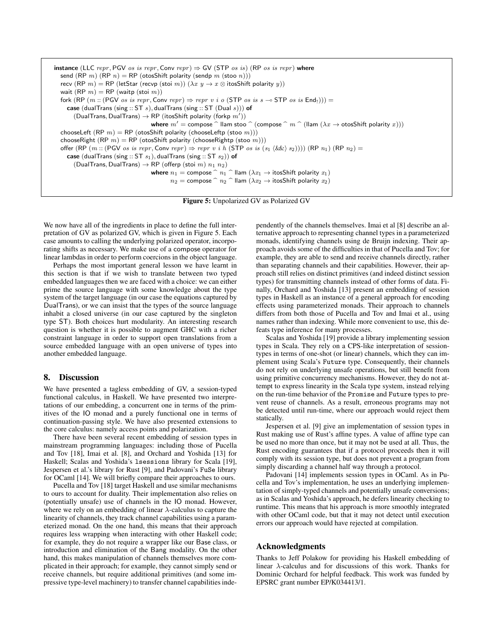```
instance (LLC repr, PGV os is repr, Conv repr) \Rightarrow GV (STP os is) (RP os is repr) where
  send (RP m) (RP n) = RP (otosShift polarity (sendp m (stoo n)))
  recv (RP m) = RP (letStar (recvp (stoi m)) (\lambda x y \to x \otimes itosShift polarity y))
  wait (RP_ m) = RP (waitp (stoi m))
  fork (RP (m:: (PGV os is repr, Conv repr) \Rightarrow repr v i o (STP os is s \rightarrow STP os is End))) =case (dualTrans (sing :: ST s), dualTrans (sing :: ST (Dual s))) of
        (DualTrans, DualTrans) \rightarrow RP (itosShift polarity (forkp m'))
                                        where m' = compose \hat{ } llam stoo \hat{ } (compose \hat{ } m \hat{ } (llam (\lambda x \rightarrow otosShift polarity x)))
  chooseLeft (RP \ m) = RP (otosShift polarity (chooseLeftp (stoo m)))
  chooseRight (RP \ m) = RP (otosShift polarity (chooseRightp (stoo m)))
  offer (RP (m:: (PGV os is repr, Conv repr) \Rightarrow repr v i h (STP os is (s<sub>1</sub> (&&&s<sub>2</sub>)))) (RP n<sub>1</sub>) (RP n<sub>2</sub>) =case (dualTrans (sing :: ST s_1), dualTrans (sing :: ST s_2)) of
        (DualTrans, DualTrans) \rightarrow RP (offerp (stoi m) n_1 n_2)
                                        where n_1 = \text{composite} \cap n_1 \cap \text{Ham } (\lambda x_1 \rightarrow \text{itosShift polarity } x_1)n_2 = compose \hat{n}_2 \hat{n}_1 llam (\lambda x_2 \rightarrow itosShift polarity x_2)
```
Figure 5: Unpolarized GV as Polarized GV

<span id="page-12-1"></span>We now have all of the ingredients in place to define the full interpretation of GV as polarized GV, which is given in Figure [5.](#page-12-1) Each case amounts to calling the underlying polarized operator, incorporating shifts as necessary. We make use of a compose operator for linear lambdas in order to perform coercions in the object language.

Perhaps the most important general lesson we have learnt in this section is that if we wish to translate between two typed embedded languages then we are faced with a choice: we can either prime the source language with some knowledge about the type system of the target language (in our case the equations captured by DualTrans), or we can insist that the types of the source language inhabit a closed universe (in our case captured by the singleton type ST). Both choices hurt modularity. An interesting research question is whether it is possible to augment GHC with a richer constraint language in order to support open translations from a source embedded language with an open universe of types into another embedded language.

### <span id="page-12-0"></span>8. Discussion

We have presented a tagless embedding of GV, a session-typed functional calculus, in Haskell. We have presented two interpretations of our embedding, a concurrent one in terms of the primitives of the IO monad and a purely functional one in terms of continuation-passing style. We have also presented extensions to the core calculus: namely access points and polarization.

There have been several recent embedding of session types in mainstream programming languages: including those of Pucella and Tov [\[18\]](#page-13-17), Imai et al. [\[8\]](#page-13-20), and Orchard and Yoshida [\[13\]](#page-13-21) for Haskell; Scalas and Yoshida's lsessions library for Scala [\[19\]](#page-13-11), Jespersen et al.'s library for Rust [\[9\]](#page-13-22), and Padovani's FuSe library for OCaml [\[14\]](#page-13-10). We will briefly compare their approaches to ours.

Pucella and Tov [\[18\]](#page-13-17) target Haskell and use similar mechanisms to ours to account for duality. Their implementation also relies on (potentially unsafe) use of channels in the IO monad. However, where we rely on an embedding of linear  $\lambda$ -calculus to capture the linearity of channels, they track channel capabilities using a parameterized monad. On the one hand, this means that their approach requires less wrapping when interacting with other Haskell code; for example, they do not require a wrapper like our Base class, or introduction and elimination of the Bang modality. On the other hand, this makes manipulation of channels themselves more complicated in their approach; for example, they cannot simply send or receive channels, but require additional primitives (and some impressive type-level machinery) to transfer channel capabilities independently of the channels themselves. Imai et al [\[8\]](#page-13-20) describe an alternative approach to representing channel types in a parameterized monads, identifying channels using de Bruijn indexing. Their approach avoids some of the difficulties in that of Pucella and Tov; for example, they are able to send and receive channels directly, rather than separating channels and their capabilities. However, their approach still relies on distinct primitives (and indeed distinct session types) for transmitting channels instead of other forms of data. Finally, Orchard and Yoshida [\[13\]](#page-13-21) present an embedding of session types in Haskell as an instance of a general approach for encoding effects using parameterized monads. Their approach to channels differs from both those of Pucella and Tov and Imai et al., using names rather than indexing. While more convenient to use, this defeats type inference for many processes.

Scalas and Yoshida [\[19\]](#page-13-11) provide a library implementing session types in Scala. They rely on a CPS-like interpretation of sessiontypes in terms of one-shot (or linear) channels, which they can implement using Scala's Future type. Consequently, their channels do not rely on underlying unsafe operations, but still benefit from using primitive concurrency mechanisms. However, they do not attempt to express linearity in the Scala type system, instead relying on the run-time behavior of the Promise and Future types to prevent reuse of channels. As a result, erroneous programs may not be detected until run-time, where our approach would reject them statically.

Jespersen et al. [\[9\]](#page-13-22) give an implementation of session types in Rust making use of Rust's affine types. A value of affine type can be used no more than once, but it may not be used at all. Thus, the Rust encoding guarantees that if a protocol proceeds then it will comply with its session type, but does not prevent a program from simply discarding a channel half way through a protocol.

Padovani [\[14\]](#page-13-10) implements session types in OCaml. As in Pucella and Tov's implementation, he uses an underlying implementation of simply-typed channels and potentially unsafe conversions; as in Scalas and Yoshida's approach, he defers linearity checking to runtime. This means that his approach is more smoothly integrated with other OCaml code, but that it may not detect until execution errors our approach would have rejected at compilation.

#### Acknowledgments

Thanks to Jeff Polakow for providing his Haskell embedding of linear  $\lambda$ -calculus and for discussions of this work. Thanks for Dominic Orchard for helpful feedback. This work was funded by EPSRC grant number EP/K034413/1.